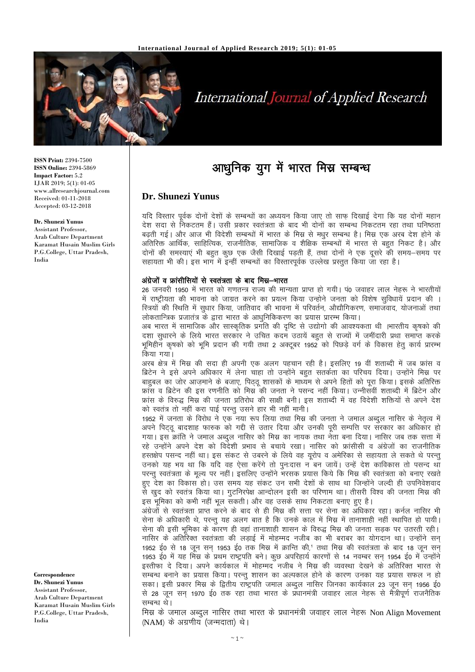

# **International Journal of Applied Research**

**ISSN Print:** 2394-7500 **ISSN Online:** 2394-5869 **Impact Factor:** 5.2 IJAR 2019; 5(1): 01-05 www.allresearchjournal.com Received: 01-11-2018 Accepted: 03-12-2018

#### **Dr. Shunezi Yunus**

Assistant Professor, Arab Culture Department Karamat Husain Muslim Girls P.G.College, Uttar Pradesh, India

**Correspondence Dr. Shunezi Yunus** Assistant Professor, Arab Culture Department Karamat Husain Muslim Girls P.G.College, Uttar Pradesh, India

## आधुनिक युग में भारत मिस्र सम्बन्ध

### **Dr. Shunezi Yunus**

यदि विस्तार पर्वक दोनों देशों के सम्बन्धों का अध्ययन किया जाए तो साफ दिखाई देगा कि यह दोनों महान देश सदा से निकटतम हैं। उसी प्रकार स्वतंत्रता के बाद भी दोनों का सम्बन्ध निकटतम रहा तथा घनिष्ठता बढती गई। और आज भी विदेशी सम्बन्धों में भारत के मिस्र से मधुर सम्बन्ध है। मिस्र एक अरब देश होने के अतिरिक्त आर्थिक, साहित्यिक, राजनीतिक, सामाजिक व शैक्षिक सम्बन्धों में भारत से बहुत निकट है। और दोनों की समस्याएं भी बहुत कुछ एक जैसी दिखाई पड़ती हैं, तथा दोनों ने एक दुसरे की समय–समय पर सहायता भी की। इस भाग में इन्हीं सम्बन्धों का विस्तारपूर्वक उल्लेख प्रस्तुत किया जा रहा है।

#### अंग्रेजों व फ्रांसीसियों से स्वतंत्रता के बाद मिस्र–भारत

26 जनवरी 1950 में भारत को गणतन्त्र राज्य की मान्यता प्राप्त हो गयी। पं0 जवाहर लाल नेहरू ने भारतीयों में राष्ट्रीयता की भावना को जाग्रत करने का प्रयत्न किया उन्होने जनता को विशेष सुविधायें प्रदान की । स्त्रियों की स्थिति में सुधार किया, जातिवाद की भावना में परिवर्तन, औद्यौगिकरण, समाजवाद, योजनाओं तथा लोकतान्त्रिक प्रजातंत्र के द्वारा भारत के आधुनिकिकरण का प्रयास प्रारम्भ किया।

अब भारत में सामाजिक और सास्कृतिक प्रगति की दृष्टि से उद्योगो की आवश्यकता थी ।भारतीय कृषको की दशा सुधारने के लिये भारत सरकार ने उचित कदम उठायें बहुत से राज्यों में जमींदारी प्रथा समाप्त करके भूमिहीन कुषको को भूमि प्रदान की गयी तथा 2 अक्टूबर 1952 को पिछड़े वर्ग के विकास हेतु कार्य प्रारम्भ किया गया।

अरब क्षेत्र में मिस्र की सदा ही अपनी एक अलग पहचान रही है। इसलिए 19 वीं शताब्दी में जब फ्रांस व ब्रिटेन ने इसे अपने अधिकार में लेना चाहा तो उन्होंने बहुत सतर्कता का परिचय दिया। उन्होंने मिस्र पर बाहुबल का जोर आज़माने के बजाए, पिठ्ठू शासकों के माध्यम से अपने हितों को पूरा किया। इसके अतिरिक्त फ्रांस व ब्रिटेन की इस रणनीति को मिस्र की जनता ने पसन्द नहीं किया। उन्नीसवीं शताब्दी में ब्रिटेन और फ्रांस के विरुद्ध मिस्र की जनता प्रतिरोध की साक्षी बनी। इस शताब्दी में वह विदेशी शक्तियों से अपने देश को स्वतंत्र तो नहीं करा पाई परन्तू उसने हार भी नहीं मानी।

1952 में जनता के विरोध ने एक नया रूप लिया तथा मिस्र की जनता ने जमाल अब्दुल नासिर के नेतृत्व में अपने पिटठ बादशाह फारुक को गद्दी से उतार दिया और उनकी परी सम्पत्ति पर सरकार का अधिकार हो गया। इस क्रांति ने जमाल अब्दुल नासिर को मिस्र का नायक तथा नेता बना दिया। नासिर जब तक सत्ता में रहे उन्होंने अपने देश को विदेशी प्रभाव से बचाये रखा। नासिर को फ्रांसीसी व अंग्रेजों का राजनीतिक हस्तक्षेप पसन्द नहीं था। इस संकट से उबरने के लिये वह यूरोप व अमेरिका से सहायता ले सकते थे परन्तु उनको यह भय था कि यदि वह ऐसा करेंगे तो पुनःदास न बन जायें। उन्हें देश काविकास तो पसन्द था परन्तु स्वतंत्रता के मृल्य पर नहीं। इसलिए उन्होंने भरसक प्रयास किये कि मिस्र की स्वतंत्रता को बनाए रखते हुए देश का विकास हो। उस समय यह संकट उन सभी देशों के साथ था जिन्होंने जल्दी ही उपनिवेशवाद से खुद को स्वतंत्र किया था। गुटनिरपेक्ष आन्दोलन इसी का परिणाम था। तीसरी विश्व की जनता मिस्र की इस भूमिका को कभी नहीं भूल सकती। और वह उसके साथ निकटता बनाए हुए है।

अंग्रेजों से स्वतंत्रता प्राप्त करने के बाद से ही मिस्र की सत्ता पर सेना का अधिकार रहा। कर्नल नासिर भी सेना के अधिकारी थे, परन्तु यह अलग बात है कि उनके काल में मिस्र में तानाशाही नहीं स्थापित हो पायी। सेना की इसी भमिका के कारण ही वहां तानाशाही शासन के विरुद्ध मिस्र की जनता सडक पर उतरती रही। नासिर के अतिरिक्त स्वतंत्रता की लड़ाई में मोहम्मद नजीब का भी बराबर का योगदान था। उन्होंने सन् 1952 ई0 से 18 जून सन 1953 ई0 तक मिस्र में क्रान्ति की,' तथा मिस्र की स्वतंत्रता के बाद 18 जून सन 1953 ई0 में यह मिस्र के प्रथम राष्ट्रपति बने। कुछ अपरिहार्य कारणों से 14 नवम्बर सन 1954 ई0 में उन्होंने इस्तीफा दे दिया। अपने कार्यकाल में मोहम्मद नजीब ने मिस्र की व्यवस्था देखने के अतिरिक्त भारत से सम्बन्ध बनाने का प्रयास किया। परन्तु शासन का अल्पकाल होने के कारण उनका यह प्रयास सफल न हो सका। इसी प्रकार मिस्र के द्वितीय राष्ट्रपति जमाल अब्दल नासिर जिनका कार्यकाल 23 जून सन 1956 ई0 से 28 जून सन् 1970 ई0 तक रहा तथा भारत के प्रधानमंत्री जवाहर लाल नेहरू से मैंत्रीपूर्ण राजनैतिक सम्बन्ध थे।

मिस्र के जमाल अब्दुल नासिर तथा भारत के प्रधानमंत्री जवाहर लाल नेहरू Non Align Movement (NAM) के अग्रणीय (जन्मदाता) थे।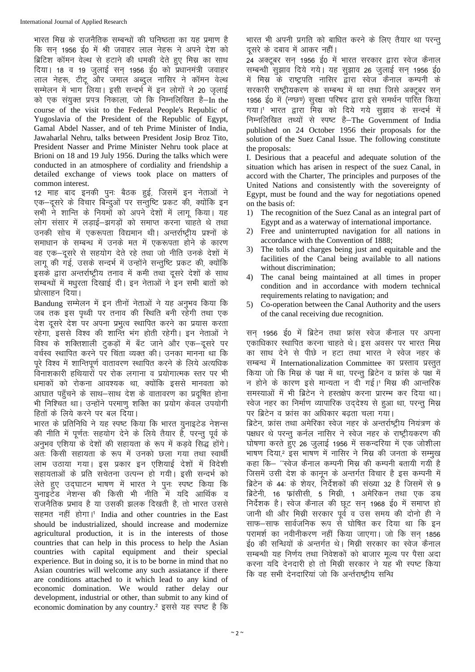भारत मिस्र के राजनैतिक सम्बन्धों की घनिष्ठता का यह प्रमाण है कि सन 1956 ई0 में श्री जवाहर लाल नेहरू ने अपने देश को ब्रिटिश कॉमन वेल्थ से हटाने की धमकी देते हुए मिस्र का साथ दिया। 18 व 19 जुलाई सन् 1956 ई0 को प्रधानमंत्री जवाहर लाल नेहरू, टीटू और जमाल अब्दुल नासिर ने कॉमन वेल्थ सम्मेलन में भाग लिया। इसी सन्दर्भ में इन लोगों ने 20 जूलाई को एक संयुक्त प्रपत्र निकाला, जो कि निम्नलिखित है–In the course of the visit to the Federal People's Republic of Yugoslavia of the President of the Republic of Egypt, Gamal Abdel Nasser, and of teh Prime Minister of India, Jawaharlal Nehru, talks between President Josip Broz Tito, President Nasser and Prime Minister Nehru took place at Brioni on 18 and 19 July 1956. During the talks which were conducted in an atmosphere of cordiality and friendship a detailed exchange of views took place on matters of common interest.

12 माह बाद इनकी पूनः बैठक हुई, जिसमें इन नेताओं ने एक-दूसरे के विचार बिन्दुओं पर सन्तुष्टि प्रकट की, क्योंकि इन सभी ने शान्ति के नियमों को अपने देशों में लागू किया। यह लोग संसार में लड़ाई-झगड़ों को समाप्त करना चाहते थे तथा उनकी सोच में एकरूपता विद्यमान थी। अन्तर्राष्टीय प्रश्नों के समाधान के सम्बन्ध में उनके मत में एकरूपता होने के कारण वह एक-दसरे से सहयोग देते रहे तथा जो नीति उनके देशों में लागू की गई, उसके सन्दर्भ में उन्होंने सन्तुष्टि प्रकट की, क्योंकि इसके द्वारा अन्तर्राष्ट्रीय तनाव में कमी तथा दसरे देशों के साथ सम्बन्धों में मधुरता दिखाई दी। इन नेताओं ने इन सभी बातों को प्रोत्साहन दिया।

Bandung सम्मेलन में इन तीनों नेताओं ने यह अनुभव किया कि जब तक इस पथ्वी पर तनाव की स्थिति बनी रहेगी तथा एक देश दूसरे देश पर अपना प्रभुत्व स्थापित करने का प्रयास करता रहेगा, इससे विश्व की शान्ति भंग होती रहेगी। इन नेताओं ने विश्व के शक्तिशाली टुकड़ों में बँट जाने और एक-दूसरे पर वर्चस्व स्थापित करने पर चिंता व्यक्त की। उनका मानना था कि परे विश्व में शान्तिपर्ण वातावरण स्थापित करने के लिये अत्यधिक विनाशकारी हथियारों पर रोक लगाना व प्रयोगात्मक स्तर पर भी धमाकों को रोकना आवश्यक था, क्योंकि इससे मानवता को आघात पहुँचने के साथ-साथ देश के वातावरण का प्रदुषित होना भी निश्चित था। उन्होंने परमाण शक्ति का प्रयोग केवल उपयोगी हितों के लिये करने पर बल दिया।

भारत के प्रतिनिधि ने यह स्पष्ट किया कि भारत युनाइटेड नेशन्स की नीति में पूर्णतः सहयोग देने के लिये तैयार हैं, परन्तु पूर्व के अनुभव एशिया के देशों की सहायता के रूप में कडवे सिद्ध होंगे। अतः किसी सहायता के रूप में उनको छला गया तथा स्वार्थी लाभ उठाया गया। इस प्रकार इन एशियाई देशों में विदेशी सहायताओं के प्रति सचेतना उत्पन्न हो गयी। इसी सन्दर्भ को लेते हुए उद्घाटन भाषण में भारत ने पून: स्पष्ट किया कि युनाइटेंड नेशन्स की किसी भी नीति में यदि आर्थिक व jktuSfrd izHkko gS ;k mldh >yd fn[krh gS] rks Hkkjr mlls सहमत नहीं होगा।<sup>1</sup> India and other countries in the East should be industrialized, should increase and modernize agricultural production, it is in the interests of those countries that can help in this process to help the Asian countries with capital equipment and their special experience. But in doing so, it is to be borne in mind that no Asian countries will welcome any such assiatance if there are conditions attached to it which lead to any kind of economic domination. We would rather delay our development, industrial or other, than submit to any kind of economic domination by any country.<sup>2</sup> इससे यह स्पष्ट है कि भारत भी अपनी प्रगति को बाधित करने के लिए तैयार था परन्तू दसरे के दबाव में आकर नहीं।

\_\_<br>24 अक्टूबर सन 1956 ई0 में भारत सरकार द्वारा स्वेज कैनाल सम्बन्धी सुझाव दिये गये। यह सुझाव 26 जुलाई सन् 1956 ई0 .<br>में मिस्र के राष्ट्रपति नासिर द्वारा स्वेज कैनाल कम्पनी के सरकारी राष्ट्रीयकरण के सम्बन्ध में था तथा जिसे अक्टूबर सन् 1956 ई0 में (न्ण्छण) सुरक्षा परिषद द्वारा इसे समर्थन पारित किया गया।' भारत द्वारा मिस्र को दिये गये सुझाव के सन्दर्भ में निम्नलिखित तथ्यों से स्पष्ट है-The Government of India published on 24 October 1956 their proposals for the solution of the Suez Canal Issue. The following constitute the proposals:

I. Desirious that a peaceful and adequate solution of the situation which has arisen in respect of the suez Canal, in accord with the Charter, The principles and purposes of the United Nations and consistently with the sovereignty of Egypt, must be found and the way for negotiations opened on the basis of:

- 1) The recognition of the Suez Canal as an integral part of Egypt and as a waterway of international importance.
- 2) Free and uninterrupted navigation for all nations in accordance with the Convention of 1888;
- 3) The tolls and charges being just and equitable and the facilities of the Canal being available to all nations without discrimination;
- 4) The canal being maintained at all times in proper condition and in accordance with modern technical requirements relating to navigation; and
- 5) Co-operation between the Canal Authority and the users of the canal receiving due recognition.

सन 1956 ई0 में ब्रिटेन तथा फ्रांस स्वेज कैनाल पर अपना एकाधिकार स्थापित करना चाहते थे। इस अवसर पर भारत मिस्र का साथ देने से पीछे न हटा तथा भारत ने स्वेज नहर के सम्बन्ध में Internationalization Committee का प्रस्ताव प्रस्तुत किया जो कि मिस्र के पक्ष में था, परन्तु ब्रिटेन व फ्रांस के पक्ष में न होने के कारण इसे मान्यता न दी गई।' मिस्र की आन्तरिक समस्याओं में भी ब्रिटेन ने हस्तक्षेप करना प्रारम्भ कर दिया था। रवेज नहर का निर्माण व्यापारिक उददेश्य से हुआ था, परन्तु मिस्र पर ब्रिटेन व फ्रांस का अधिकार बढ़ता चला गया। ब्रिटेन, फ्रांस तथा अमेरिका स्वेज नहर के अन्तर्राष्ट्रीय नियंत्रण के पक्षधर थे परन्तु कर्नल नासिर ने स्वेज नहर के राष्ट्रीयकरण की घोषणा करते हुए 26 जुलाई 1956 में सकन्दरिया में एक जोशीला भाषण दिया, हस भाषण में नासिर ने मिस्र की जनता के सम्मुख कहा कि— ''स्वेज कैनाल कम्पनी मिस्र की कम्पनी बतायी गयी है जिसमें उसी देश के कानून के अन्तर्गत विचार है इस कम्पनी में ब्रिटेन के 44: के शेयर, निर्देशकों की संख्या 32 है जिसमें से 9 ब्रिटेनी, 16 फ्रांसीसी, 5 मिस्री, 1 अमेरिकन तथा एक डच

निर्देशक है। स्वेज कैनाल की छूट सन 1968 ई0 में समाप्त हो जानी थी और मिस्री सरकार पूर्व व उस समय की दोनो ही ने .<br>साफ—साफ सार्वजनिक रूप से घोषित कर दिया था कि इन परामर्श का नवीनीकरण नहीं किया जाएगा। जो कि सन 1856 ई0 की सन्धियों के अन्तर्गत थे। मिस्री सरकार का स्वेज कैनाल सम्बन्धी यह निर्णय तथा निवेशकों को बाजार मूल्य पर पैसा अदा करना यदि देनदारी हो तो मिस्री सरकार ने यह भी स्पष्ट किया कि वह सभी देनदारियां जो कि अर्न्तराष्टीय सन्धि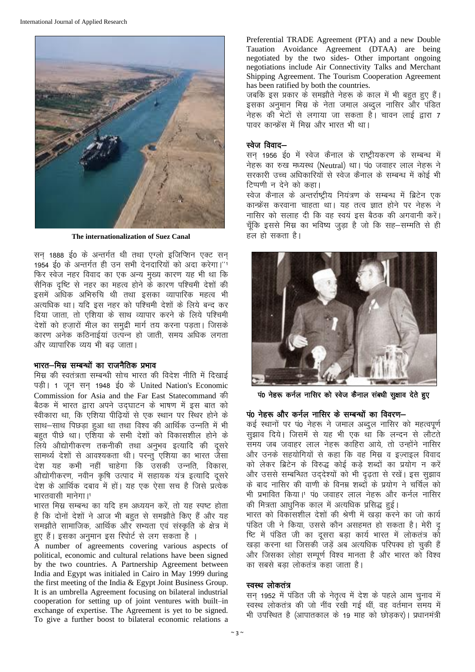

The internationalization of Suez Canal

सन 1888 ई0 के अन्तर्गत थी तथा एग्लो इजिप्शिन एक्ट सन 1954 ई0 के अन्तर्गत ही उन सभी देनदारियों को अदा करेगा।''1 फिर स्वेज नहर विवाद का एक अन्य मुख्य कारण यह भी था कि सैनिक दृष्टि से नहर का महत्व होने के कारण पश्चिमी देशों की इसमें अधिक अभिरुचि थी तथा इसका व्यापारिक महत्व भी अत्यधिक था। यदि इस नहर को पश्चिमी देशों के लिये बन्द कर दिया जाता, तो एशिया के साथ व्यापार करने के लिये पश्चिमी देशों को हजारों मील का समुद्री मार्ग तय करना पड़ता। जिसके कारण अनेक कठिनाईयां उत्पन्न हो जाती, समय अधिक लगता और व्यापारिक व्यय भी बढ जाता।

#### भारत—मिस्र सम्बन्धों का राजनैतिक प्रभाव

मिस्र की स्वतंत्रता सम्बन्धी सोच भारत की विदेश नीति में दिखाई पड़ी। 1 जुन सन 1948 ई0 के United Nation's Economic Commission for Asia and the Far East Statecommand की बैठक में भारत द्वारा अपने उद्घाटन के भाषण में इस बात को स्वीकारा था, कि एशिया पीढियों से एक स्थान पर स्थिर होने के साथ-साथ पिछड़ा हुआ था तथा विश्व की आर्थिक उन्नति में भी बहुत पीछे था। एशिया के सभी देशों को विकासशील होने के लिये औद्योगीकरण तकनीकी तथा अनुभव इत्यादि की दूसरे सामर्थ्य देशों से आवश्यकता थी। परन्तु एशिया का भारत जैसा देश यह कभी नहीं चाहेगा कि उसकी उन्नति, विकास, औद्योगीकरण, नवीन कृषि उत्पाद में सहायक यंत्र इत्यादि दूसरे देश के आर्थिक दबाव में हों। यह एक ऐसा सच है जिसे प्रत्येक भारतवासी मानेगा।<sup>1</sup>

भारत मिस्र सम्बन्ध का यदि हम अध्ययन करें, तो यह स्पष्ट होता है कि दोनों देशों ने आज भी बहुत से समझौते किए हैं और यह समझौते सामाजिक, आर्थिक और सभ्यता एवं संस्कृति के क्षेत्र में हुए हैं। इसका अनुमान इस रिपोर्ट से लग सकता है ।

A number of agreements covering various aspects of political, economic and cultural relations have been signed by the two countries. A Partnership Agreement between India and Egypt was initialed in Cairo in May 1999 during the first meeting of the India & Egypt Joint Business Group. It is an umbrella Agreement focusing on bilateral industrial cooperation for setting up of joint ventures with built-in exchange of expertise. The Agreement is yet to be signed. To give a further boost to bilateral economic relations a

Preferential TRADE Agreement (PTA) and a new Double Tauation Avoidance Agreement (DTAA) are being negotiated by the two sides- Other important ongoing negotiations include Air Connectivity Talks and Merchant Shipping Agreement. The Tourism Cooperation Agreement has been ratified by both the countries.

जबकि इस प्रकार के समझौते नेहरू के काल में भी बहुत हुए हैं। इसका अनुमान मिस्र के नेता जमाल अब्दुल नासिर और पंडित नेहरू की भेटों से लगाया जा सकता है। चावन लाई द्वारा 7 पावर कान्फ्रेंस में मिस्र और भारत भी था।

#### स्वेज विवाद–

सन् 1956 ई0 में स्वेज कैनाल के राष्ट्रीयकरण के सम्बन्ध में नेहरू का रुख मध्यस्थ (Neutral) था। पं0 जवाहर लाल नेहरू ने सरकारी उच्च अधिकारियों से स्वेज कैनाल के सम्बन्ध में कोई भी टिप्पणी न देने को कहा।

स्वेज कैनाल के अन्तर्राष्ट्रीय नियंत्रण के सम्बन्ध में ब्रिटेन एक कान्फ्रेंस करवाना चाहता था। यह तत्व ज्ञात होने पर नेहरू ने नासिर को सलाह दी कि वह स्वयं इस बैठक की अगवानी करें। चूँकि इससे मिस्र का भविष्य जुड़ा है जो कि सह–सम्मति से ही हल हो सकता है।



पं0 नेहरू कर्नल नासिर को स्वेज कैनाल संबधी सूक्षाव देते हुए

#### पं0 नेहरू और कर्नल नासिर के सम्बन्धों का विवरण–

कई स्थानों पर पं0 नेहरू ने जमाल अब्दुल नासिर को महत्वपूर्ण सझाव दिये। जिसमें से यह भी एक था कि लन्दन से लौटते समय जब जवाहर लाल नेहरू काहिरा आये. तो उन्होंने नासिर और उनके सहयोगियों से कहा कि वह मिस्र व इज्राइल विवाद को लेकर ब्रिटेन के विरुद्ध कोई कड़े शब्दों का प्रयोग न करें और उससे सम्बन्धित उद्देश्यों को भी दृढ़ता से रखें। इस सुझाव के बाद नासिर की वाणी के विनम्र शब्दों के प्रयोग ने चर्चिल को भी प्रभावित किया।1 पं0 जवाहर लाल नेहरू और कर्नल नासिर की मित्रता आधुनिक काल में अत्यधिक प्रसिद्ध हुई।

भारत को विकासशील देशों की श्रेणी में खड़ा करने का जो कार्य पंडित जी ने किया, उससे कौन असहमत हो सकता है। मेरी दृ ष्टि में पंडित जी का दुसरा बड़ा कार्य भारत में लोकतंत्र को खड़ा करना था जिसकी जड़ें अब अत्यधिक परिपक्व हो चुकी हैं और जिसका लोहा सम्पर्ण विश्व मानता है और भारत को विश्व का सबसे बड़ा लोकतंत्र कहा जाता है।

#### स्वस्थ लोकतंत्र

सन् 1952 में पंडित जी के नेतृत्व में देश के पहले आम चुनाव में स्वस्थ लोकतंत्र की जो नींव रखी गई थीं, वह वर्तमान समय में भी उपस्थित है (आपातकाल के 19 माह को छोड़कर)। प्रधानमंत्री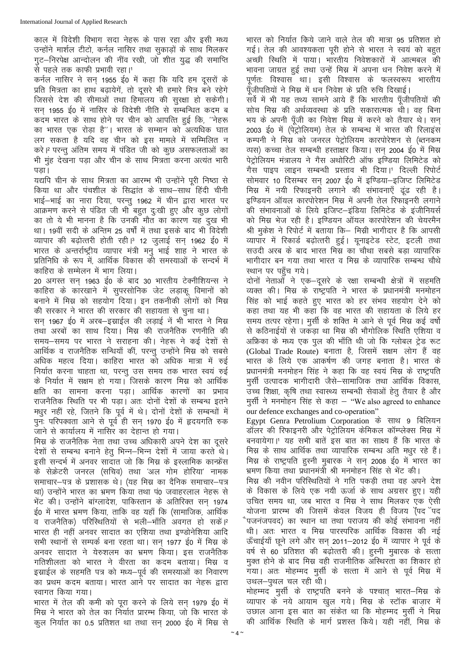काल में विदेशी विभाग सदा नेहरू के पास रहा और इसी मध्य उन्होंने मार्शल टीटो, कर्नल नासिर तथा सुकाडों के साथ मिलकर गट-निरपेक्ष आन्दोलन की नींव रखी, जो शीत युद्ध की समाप्ति से पहले तक काफी प्रभावी रहा।<sup>1</sup>

कर्नल नासिर ने सन 1955 ई0 में कहा कि यदि हम दसरों के प्रति मित्रता का हाथ बढ़ायेगें, तो दूसरे भी हमारे मित्र बने रहेगे जिससे देश की सीमाओं तथा हिमालय की सुरक्षा हो सकेगी। सन 1955 ई0 में नासिर के विदेशी नीति से सम्बन्धित कदम ब कदम भारत के साथ होने पर चीन को आपत्ति हुई कि. "नेहरू का भारत एक रोड़ा है''। भारत के सम्मान को अत्यधिक घात लग सकता है यदि वह चीन को इस मामले में सम्मिलित न करे। परन्तु अंतिम समय में पंडित जी को कुछ असफलताओं का भी मुंह देखना पड़ा और चीन के साथ मित्रता करना अत्यंत भारी पडा।

यद्यपि चीन के साथ मित्रता का आरम्भ भी उन्होंने परी निष्ठा से किया था और पंचशील के सिद्धांत के साथ–साथ हिंदी चीनी भाई-भाई का नारा दिया, परन्तु 1962 में चीन द्वारा भारत पर आक्रमण करने से पंडित जी भी बहुत दुःखी हुए और कुछ लोगों का तो ये भी मानना है कि उनकी मौत का कारण यह दुख भी था। 19वीं सदी के अन्तिम 25 वर्षों में तथा इसके बाद भी विदेशी व्यापार की बढोत्तरी होती रही।<sup>3</sup> 12 जुलाई सन 1962 ई0 में भारत के अन्तर्राष्ट्रीय व्यापार मंत्री मन भाई शाह ने भारत के प्रतिनिधि के रूप में, आर्थिक विकास की समस्याओं के सन्दर्भ में काहिरा के सम्मेलन में भाग लिया।

20 अगस्त सन् 1963 ई0 के बाद 30 भारतीय टेक्नीशियन्स ने काहिरा के कारखाने में सुपरसोनिक जेट लड़ाकू विमानों को बनाने में मिस्र को सहयोग दिया। इन तकनीकी लोगों को मिस्र की सरकार ने भारत की सरकार की सहायता से चना था।

सन 1967 ई0 में अरब-इस्राईल की लड़ाई नें भी भारत ने मिस्र तथा अरबों का साथ दिया। मिस्र की राजनैतिक रणनीति की समय-समय पर भारत ने सराहना की। नेहरू ने कई देशों से आर्थिक व राजनैतिक सन्धियाँ कीं, परन्तू उन्होंने मिस्र को सबसे अधिक महत्व दिया। काहिरा भारत को अधिक मात्रा में रुई निर्यात करना चाहता था, परन्तु उस समय तक भारत स्वयं रुई के निर्यात में सक्षम हो गया। जिसके कारण मिस्र को आर्थिक क्षति का सामना करना पडा। आर्थिक कारणों का प्रभाव राजनैतिक स्थिति पर भी पड़ा। अतः दोनों देशों के सम्बन्ध इतने मधुर नहीं रहे, जितने कि पूर्व में थे। दोनों देशों के सम्बन्धों में पुनः परिपक्वता आने से पूर्व ही सन् 1970 ई0 में हृदयगति रुक जाने से कार्यालय में नासिर का देहान्त हो गया।

मिस्र के राजनैतिक नेता तथा उच्च अधिकारी अपने देश का दसरे देशों से सम्बन्ध बनाने हेतू भिन्न–भिन्न देशों में जाया करते थे। इसी सन्दर्भ में अनवर सादात जो कि मिस्र के इस्लामिक कान्फ्रेंस के सेक्रेटरी जनरल (सचिव) तथा 'अल गोम होरिया' नामक समाचार—पत्र के प्रशासक थे। (यह मिस्र का दैनिक समाचार—पत्र था) उन्होंने भारत का भ्रमण किया तथा प0 जवाहरलाल नेहरू से भेंट की। उन्होंने बांग्लादेश, पाकिस्तान के अतिरिक्त सन 1974 ई0 में भारत भ्रमण किया, ताकि वह यहाँ कि (सामाजिक, आर्थिक व राजनैतिक) परिस्थितियों से भली–भाँति अवगत हो सकें। 2 भारत ही नहीं अनवर सादात का एशिया तथा इण्डोनेशिया आदि सभी स्थानों से सम्पर्क बना रहता था। सन 1977 ई0 में मिस्र के अनवर सादात ने येरुशलम का भ्रमण किया। इस राजनैतिक गतिशीलता को भारत ने वीरता का कदम बताया। मिस्र व इस्राईल के सहमति पत्र को मध्य-पर्व की समस्याओं का निवारण का प्रथम कदम बताया। भारत आने पर सादात का नेहरू द्वारा स्वागत किया गया।

भारत में तेल की कमी को पूरा करने के लिये सन् 1979 ई0 में मिस्र ने भारत को तेल का निर्यात प्रारम्भ किया, जो कि भारत के कुल निर्यात का 0.5 प्रतिशत था तथा सन् 2000 ई0 में मिस्र से भारत को निर्यात किये जाने वाले तेल की मात्रा 95 प्रतिशत हो गई। तेल की आवश्यकता पूरी होने से भारत ने स्वयं को बहुत अच्छी रिथति में पाया। भारतीय निवेशकारों में आत्मबल की भावना जाग्रत हुई तथा उन्हें मिस्र में अपना धन निवेश करने में पूर्णतः विश्वास था। इसी विश्वास के फलस्वरूप भारतीय पॅंजीपतियों ने मिस्र में धन निवेश के प्रति रुचि दिखाई।

सर्वे में भी यह तथ्य सामने आये हैं कि भारतीय पूँजीपतियों की सोच मिस्र की अर्थव्यवस्था के प्रति सकारात्मक थी। वह बिना भय के अपनी पँजी का निवेश मिस्र में करने को तैयार थे। सन 2003 ई0 में (पेंट्रोलियम) तेल के सम्बन्ध में भारत की रिलाइस कम्पनी ने मिस्र को जनरल पेट्रोलियम कारपोरेशन से (ब्तनकम व्यस) कच्चा तेल सम्बन्धी हस्ताक्षर किया। सन 2004 ई0 में मिस्र पेट्रोलियम मंत्रालय ने गैस अथोरिटी ऑफ इण्डिया लिमिटेड को गैस पाइप लाइन सम्बन्धी प्रस्ताव भी दिया।' दिल्ली रिपोर्ट सोमवार 10 दिसम्बर सन 2007 ई0 में इण्डिया-इजिप्ट लिमिटेड मिस्र में नयी रिफाइनरी लगाने की संभावनाएँ ढंढ रही है। इण्डियन ऑयल कारपोरेशन मिस्र में अपनी तेल रिफाइनरी लगाने की संभावनाओं के लिये इजिप्ट-इंडिया लिमिटेड के इंजीनियर्स को मिस्र भेज रही है। इण्डियन ऑयल कारपोरेशन की चेयरमैन श्री मकेश ने रिपोर्ट में बताया कि— मिस्री भागीदार है कि आपसी व्यापार में रिकार्ड बढोत्तरी हुई। युनाइटेड स्टेट, इटली तथा सउदी अरब के बाद भारत मिस्र का चौथा सबसे बड़ा व्यापारिक भागीदार बन गया तथा भारत व मिस्र के व्यापारिक सम्बन्ध चौथे स्थान पर पहुँच गये।

दोनों नेताओं ने एक–दूसरे के रक्षा सम्बन्धी क्षेत्रों में सहमति व्यक्त की। मिस्र के राष्ट्रपति ने भारत के प्रधानमंत्री मनमोहन सिंह को भाई कहते हुए भारत को हर संभव सहयोग देने को कहा तथा यह भी कहाँ कि वह भारत की सहायता के लिये हर समय तत्पर रहेगा। मूर्सी के शक्ति मे आने से पूर्व मिस्र कई वर्षो से कठिनाईयों से जकडा था मिस्र की भौगोलिक स्थिति एशिया व अफ्रिका के मध्य एक पूल की भाँति थी जो कि ग्लोबल ट्रेड रूट (Global Trade Route) बनाता है, जिसमें सक्षम लोग हैं वह भारत के लिये एक आकर्षण की जगह बनाता है। भारत के प्रधानमंत्री मनमोहन सिंह ने कहा कि वह स्वयं मिस्र के राष्ट्रपति मूर्सी उत्पादक भागीदारी जैसे–सामाजिक तथा आर्थिक विकास, उच्च शिक्षा, कृषि तथा स्वास्थ्य सम्बन्धी सेवाओं हेतु तैयार है और मूर्सी ने मनमोहन सिंह से कहा – "We also agreed to enhance our defence exchanges and co-operation"

Egypt Genra Petrolium Corporation के साथ 9 बिलियन डॉलर की रिफाइनरी और पेट्रोलियम केमिकल कॉम्प्लेक्स मिस्र में बनवायेगा।' यह सभी बातें इस बात का साक्ष्य हैं कि भारत के मिस्र के साथ आर्थिक तथा व्यापारिक सम्बन्ध अति मधुर रहे हैं। मिस्र के राष्ट्रपति हस्नी मुबारक ने सन 2008 ई0 में भारत का भ्रमण किया तथा प्रधानमंत्री श्री मनमोहन सिंह से भेंट की।

मिस्र की नवीन परिस्थितियों ने गति पकडी तथा वह अपने देश के विकास के लिये एक नयी ऊर्जा के साथ अग्रसर हुए। यही उचित समय था, जब भारत व मिस्र ने साथ मिलकर एक ऐसी योजना प्रारम्भ की जिसमें केवल विजय ही विजय (पद पद `पजनंजपवद) का स्थान था तथा पराजय की कोई संभावना नहीं थी। अतः भारत व मिस्र पारस्परिक आर्थिक विकास की नई ऊँचाईयाँ छूने लगे और सन 2011-2012 ई0 में व्यापार ने पूर्व के वर्ष से 60 प्रतिशत की बढ़ोत्तरी की। हुस्नी मुबारक के सत्ता मुक्त होने के बाद मिस्र वही राजनीतिक अस्थिरता का शिकार हो गया। अतः मोहम्मद मुर्सी के सत्ता में आने से पूर्व मिस्र में उथल-पथल चल रही थी।

मोहम्मद मूर्सी के राष्ट्रपति बनने के पश्चात भारत–मिस्र के व्यापार के नये आयाम खुल गये। मिस्र के स्टॉक बाज़ार में उछाल आना इस बात का संकेत था कि मोहम्मद मुर्सी ने मिस्र की आर्थिक स्थिति के मार्ग प्रशस्त किये। यही नहीं, मिस्र के